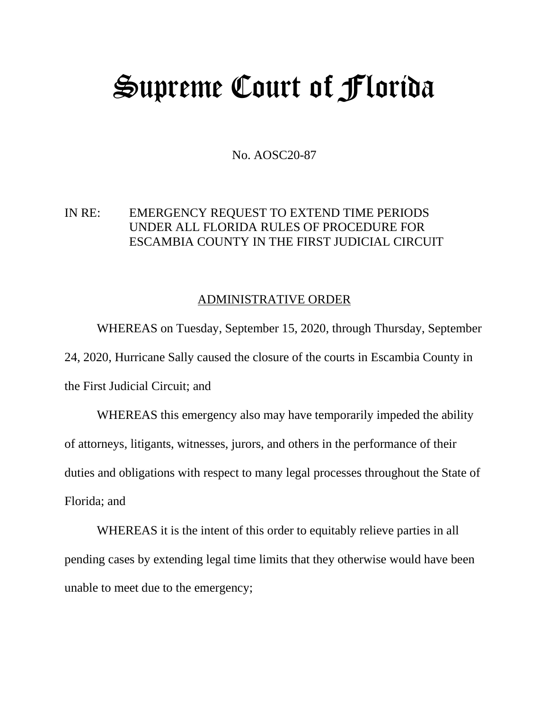## Supreme Court of Florida

No. AOSC20-87

## IN RE: EMERGENCY REQUEST TO EXTEND TIME PERIODS UNDER ALL FLORIDA RULES OF PROCEDURE FOR ESCAMBIA COUNTY IN THE FIRST JUDICIAL CIRCUIT

## ADMINISTRATIVE ORDER

WHEREAS on Tuesday, September 15, 2020, through Thursday, September 24, 2020, Hurricane Sally caused the closure of the courts in Escambia County in the First Judicial Circuit; and

WHEREAS this emergency also may have temporarily impeded the ability of attorneys, litigants, witnesses, jurors, and others in the performance of their duties and obligations with respect to many legal processes throughout the State of Florida; and

WHEREAS it is the intent of this order to equitably relieve parties in all pending cases by extending legal time limits that they otherwise would have been unable to meet due to the emergency;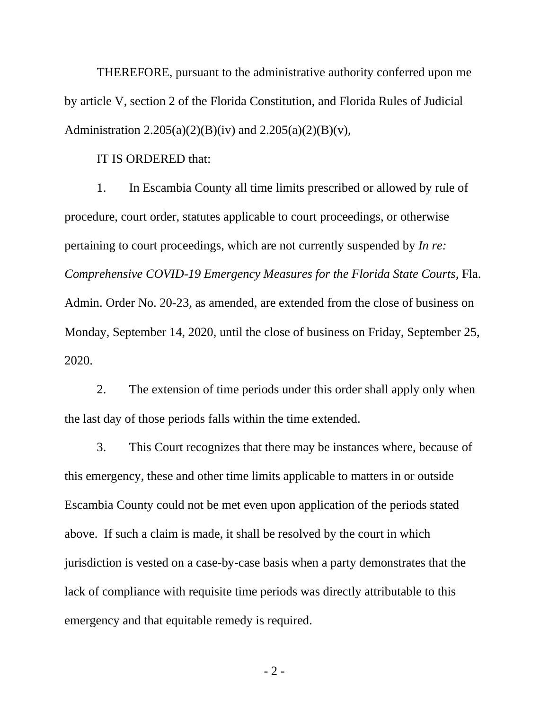THEREFORE, pursuant to the administrative authority conferred upon me by article V, section 2 of the Florida Constitution, and Florida Rules of Judicial Administration  $2.205(a)(2)(B)(iv)$  and  $2.205(a)(2)(B)(v)$ ,

IT IS ORDERED that:

1. In Escambia County all time limits prescribed or allowed by rule of procedure, court order, statutes applicable to court proceedings, or otherwise pertaining to court proceedings, which are not currently suspended by *In re: Comprehensive COVID-19 Emergency Measures for the Florida State Courts,* Fla. Admin. Order No. 20-23, as amended, are extended from the close of business on Monday, September 14, 2020, until the close of business on Friday, September 25, 2020.

2. The extension of time periods under this order shall apply only when the last day of those periods falls within the time extended.

3. This Court recognizes that there may be instances where, because of this emergency, these and other time limits applicable to matters in or outside Escambia County could not be met even upon application of the periods stated above. If such a claim is made, it shall be resolved by the court in which jurisdiction is vested on a case-by-case basis when a party demonstrates that the lack of compliance with requisite time periods was directly attributable to this emergency and that equitable remedy is required.